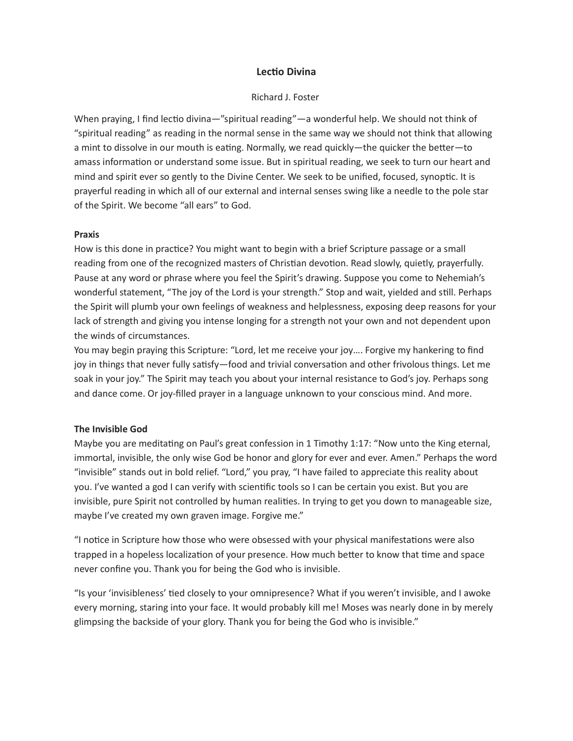# Lectio Divina

### Richard J. Foster

When praying, I find lectio divina—"spiritual reading"—a wonderful help. We should not think of "spiritual reading" as reading in the normal sense in the same way we should not think that allowing a mint to dissolve in our mouth is eating. Normally, we read quickly—the quicker the better—to amass information or understand some issue. But in spiritual reading, we seek to turn our heart and mind and spirit ever so gently to the Divine Center. We seek to be unified, focused, synoptic. It is prayerful reading in which all of our external and internal senses swing like a needle to the pole star of the Spirit. We become "all ears" to God.

## Praxis

How is this done in practice? You might want to begin with a brief Scripture passage or a small reading from one of the recognized masters of Christian devotion. Read slowly, quietly, prayerfully. Pause at any word or phrase where you feel the Spirit's drawing. Suppose you come to Nehemiah's wonderful statement, "The joy of the Lord is your strength." Stop and wait, yielded and still. Perhaps the Spirit will plumb your own feelings of weakness and helplessness, exposing deep reasons for your lack of strength and giving you intense longing for a strength not your own and not dependent upon the winds of circumstances.

You may begin praying this Scripture: "Lord, let me receive your joy…. Forgive my hankering to find joy in things that never fully satisfy—food and trivial conversation and other frivolous things. Let me soak in your joy." The Spirit may teach you about your internal resistance to God's joy. Perhaps song and dance come. Or joy-filled prayer in a language unknown to your conscious mind. And more.

## The Invisible God

Maybe you are meditating on Paul's great confession in 1 Timothy 1:17: "Now unto the King eternal, immortal, invisible, the only wise God be honor and glory for ever and ever. Amen." Perhaps the word "invisible" stands out in bold relief. "Lord," you pray, "I have failed to appreciate this reality about you. I've wanted a god I can verify with scientific tools so I can be certain you exist. But you are invisible, pure Spirit not controlled by human realities. In trying to get you down to manageable size, maybe I've created my own graven image. Forgive me."

"I notice in Scripture how those who were obsessed with your physical manifestations were also trapped in a hopeless localization of your presence. How much better to know that time and space never confine you. Thank you for being the God who is invisible.

"Is your 'invisibleness' tied closely to your omnipresence? What if you weren't invisible, and I awoke every morning, staring into your face. It would probably kill me! Moses was nearly done in by merely glimpsing the backside of your glory. Thank you for being the God who is invisible."